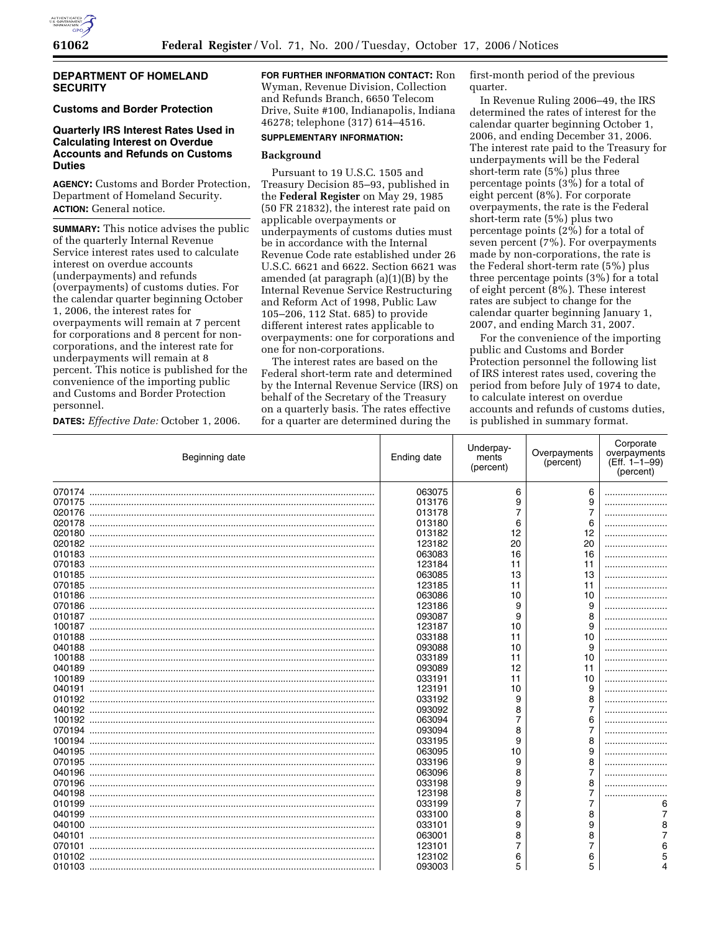

#### **DEPARTMENT OF HOMELAND SECURITY**

# **Customs and Border Protection**

## **Quarterly IRS Interest Rates Used in Calculating Interest on Overdue Accounts and Refunds on Customs Duties**

**AGENCY:** Customs and Border Protection, Department of Homeland Security. **ACTION:** General notice.

**SUMMARY:** This notice advises the public of the quarterly Internal Revenue Service interest rates used to calculate interest on overdue accounts (underpayments) and refunds (overpayments) of customs duties. For the calendar quarter beginning October 1, 2006, the interest rates for overpayments will remain at 7 percent for corporations and 8 percent for noncorporations, and the interest rate for underpayments will remain at 8 percent. This notice is published for the convenience of the importing public and Customs and Border Protection personnel.

**DATES:** *Effective Date:* October 1, 2006.

**FOR FURTHER INFORMATION CONTACT:** Ron Wyman, Revenue Division, Collection and Refunds Branch, 6650 Telecom Drive, Suite #100, Indianapolis, Indiana 46278; telephone (317) 614–4516.

# **SUPPLEMENTARY INFORMATION:**

#### **Background**

Pursuant to 19 U.S.C. 1505 and Treasury Decision 85–93, published in the **Federal Register** on May 29, 1985 (50 FR 21832), the interest rate paid on applicable overpayments or underpayments of customs duties must be in accordance with the Internal Revenue Code rate established under 26 U.S.C. 6621 and 6622. Section 6621 was amended (at paragraph (a)(1)(B) by the Internal Revenue Service Restructuring and Reform Act of 1998, Public Law 105–206, 112 Stat. 685) to provide different interest rates applicable to overpayments: one for corporations and one for non-corporations.

The interest rates are based on the Federal short-term rate and determined by the Internal Revenue Service (IRS) on behalf of the Secretary of the Treasury on a quarterly basis. The rates effective for a quarter are determined during the

first-month period of the previous quarter.

In Revenue Ruling 2006–49, the IRS determined the rates of interest for the calendar quarter beginning October 1, 2006, and ending December 31, 2006. The interest rate paid to the Treasury for underpayments will be the Federal short-term rate (5%) plus three percentage points  $(3\bar{\%})$  for a total of eight percent (8%). For corporate overpayments, the rate is the Federal short-term rate (5%) plus two percentage points (2%) for a total of seven percent (7%). For overpayments made by non-corporations, the rate is the Federal short-term rate (5%) plus three percentage points (3%) for a total of eight percent (8%). These interest rates are subject to change for the calendar quarter beginning January 1, 2007, and ending March 31, 2007.

For the convenience of the importing public and Customs and Border Protection personnel the following list of IRS interest rates used, covering the period from before July of 1974 to date, to calculate interest on overdue accounts and refunds of customs duties, is published in summary format.

| Beginning date | Ending date | Underpay-<br>ments<br>(percent) | Overpayments<br>(percent) | Corporate<br>overpayments<br>(Eff. 1-1-99)<br>(percent) |
|----------------|-------------|---------------------------------|---------------------------|---------------------------------------------------------|
|                | 063075      | 6                               | 6                         |                                                         |
| 070175         | 013176      | 9                               | 9                         |                                                         |
| 020176         | 013178      | 7                               | $\overline{7}$            |                                                         |
| 020178         | 013180      | 6                               | 6                         |                                                         |
| 020180         | 013182      | 12                              | 12                        |                                                         |
| 020182         | 123182      | 20                              | 20                        |                                                         |
| 010183         | 063083      | 16                              | 16                        |                                                         |
| 070183         | 123184      | 11                              | 11                        |                                                         |
| 010185         | 063085      | 13                              | 13                        |                                                         |
| 070185         | 123185      | 11                              | 11                        |                                                         |
| 010186         | 063086      | 10                              | 10                        |                                                         |
| 070186         | 123186      | 9                               | 9                         |                                                         |
|                | 093087      | 9                               | 8                         |                                                         |
| 100187         | 123187      | 10                              | 9                         |                                                         |
| 010188         | 033188      | 11                              | 10                        |                                                         |
| 040188         | 093088      | 10                              | 9                         |                                                         |
| 100188         | 033189      | 11                              | 10                        |                                                         |
| 040189         | 093089      | 12                              | 11                        |                                                         |
| 100189         | 033191      | 11                              | 10                        |                                                         |
| 040191         | 123191      | 10                              | 9                         |                                                         |
|                | 033192      | 9                               | 8                         |                                                         |
| 040192         | 093092      | 8                               | 7                         |                                                         |
| 100192         | 063094      | 7                               | 6                         |                                                         |
| 070194         | 093094      | 8                               | 7                         |                                                         |
| 100194         | 033195      | 9                               | 8                         |                                                         |
| 040195         | 063095      | 10                              | 9                         |                                                         |
| 070195         | 033196      | 9                               | 8                         |                                                         |
| 040196         | 063096      | 8                               | 7                         |                                                         |
| 070196         | 033198      | 9                               | 8                         |                                                         |
| 040198         | 123198      | 8                               | 7                         |                                                         |
| 010199         | 033199      | 7                               | 7                         | 6                                                       |
| 040199         | 033100      | 8                               | 8                         |                                                         |
| 040100         | 033101      | 9                               | 9                         |                                                         |
| 040101         | 063001      | 8                               | 8                         |                                                         |
| 070101         | 123101      | 7                               | 7                         |                                                         |
| 010102         | 123102      |                                 |                           |                                                         |
|                |             | 6<br>5                          | 6<br>5                    |                                                         |
| 010103         | 093003      |                                 |                           |                                                         |